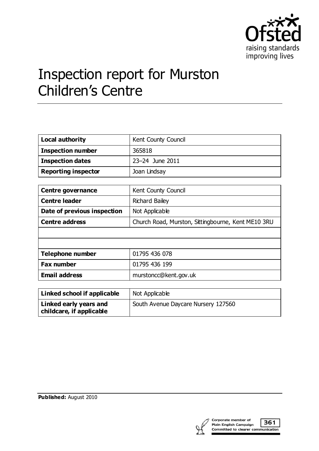

# Inspection report for Murston Children's Centre

| Local authority            | Kent County Council |
|----------------------------|---------------------|
| <b>Inspection number</b>   | 365818              |
| <b>Inspection dates</b>    | 23-24 June 2011     |
| <b>Reporting inspector</b> | Joan Lindsay        |

| <b>Centre governance</b>    | Kent County Council                                |
|-----------------------------|----------------------------------------------------|
| <b>Centre leader</b>        | Richard Bailey                                     |
| Date of previous inspection | Not Applicable                                     |
| <b>Centre address</b>       | Church Road, Murston, Sittingbourne, Kent ME10 3RU |
|                             |                                                    |
|                             |                                                    |
| <b>Telephone number</b>     | 01795 436 078                                      |
| <b>Fax number</b>           | 01795 436 199                                      |
| <b>Email address</b>        | murstoncc@kent.gov.uk                              |

| Linked school if applicable                        | Not Applicable                      |
|----------------------------------------------------|-------------------------------------|
| Linked early years and<br>childcare, if applicable | South Avenue Daycare Nursery 127560 |

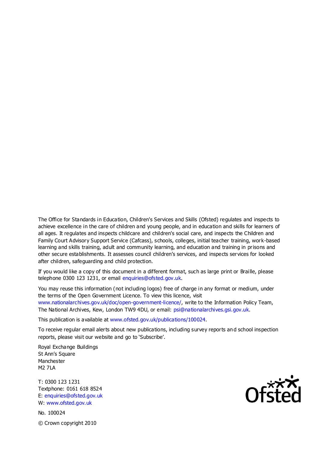The Office for Standards in Education, Children's Services and Skills (Ofsted) regulates and inspects to achieve excellence in the care of children and young people, and in education and skills for learners of all ages. It regulates and inspects childcare and children's social care, and inspects the Children and Family Court Advisory Support Service (Cafcass), schools, colleges, initial teacher training, work-based learning and skills training, adult and community learning, and education and training in prisons and other secure establishments. It assesses council children's services, and inspects services for looked after children, safeguarding and child protection.

If you would like a copy of this document in a different format, such as large print or Braille, please telephone 0300 123 1231, or email enquiries@ofsted.gov.uk.

You may reuse this information (not including logos) free of charge in any format or medium, under the terms of the Open Government Licence. To view this licence, visit www.nationalarchives.gov.uk/doc/open-government-licence/, write to the Information Policy Team, The National Archives, Kew, London TW9 4DU, or email: psi@nationalarchives.gsi.gov.uk.

This publication is available at www.ofsted.gov.uk/publications/100024.

To receive regular email alerts about new publications, including survey reports an d school inspection reports, please visit our website and go to 'Subscribe'.

Royal Exchange Buildings St Ann's Square Manchester M2 7LA

T: 0300 123 1231 Textphone: 0161 618 8524 E: enquiries@ofsted.gov.uk W: www.ofsted.gov.uk

No. 100024 © Crown copyright 2010

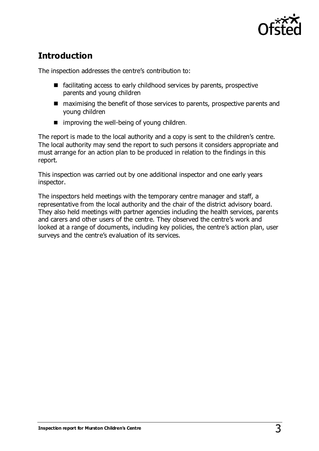

# **Introduction**

The inspection addresses the centre's contribution to:

- facilitating access to early childhood services by parents, prospective parents and young children
- maximising the benefit of those services to parents, prospective parents and young children
- $\blacksquare$  improving the well-being of young children.

The report is made to the local authority and a copy is sent to the children's centre. The local authority may send the report to such persons it considers appropriate and must arrange for an action plan to be produced in relation to the findings in this report.

This inspection was carried out by one additional inspector and one early years inspector.

The inspectors held meetings with the temporary centre manager and staff, a representative from the local authority and the chair of the district advisory board. They also held meetings with partner agencies including the health services, parents and carers and other users of the centre. They observed the centre's work and looked at a range of documents, including key policies, the centre's action plan, user surveys and the centre's evaluation of its services.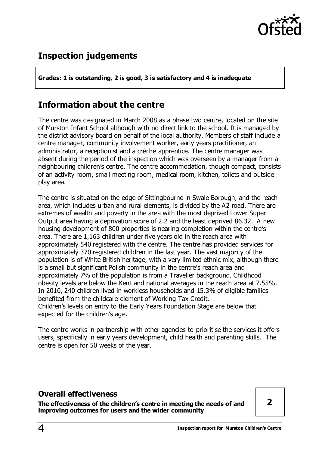

# **Inspection judgements**

**Grades: 1 is outstanding, 2 is good, 3 is satisfactory and 4 is inadequate**

## **Information about the centre**

The centre was designated in March 2008 as a phase two centre, located on the site of Murston Infant School although with no direct link to the school. It is managed by the district advisory board on behalf of the local authority. Members of staff include a centre manager, community involvement worker, early years practitioner, an administrator, a receptionist and a crèche apprentice. The centre manager was absent during the period of the inspection which was overseen by a manager from a neighbouring children's centre. The centre accommodation, though compact, consists of an activity room, small meeting room, medical room, kitchen, toilets and outside play area.

The centre is situated on the edge of Sittingbourne in Swale Borough, and the reach area, which includes urban and rural elements, is divided by the A2 road. There are extremes of wealth and poverty in the area with the most deprived Lower Super Output area having a deprivation score of 2.2 and the least deprived 86.32. A new housing development of 800 properties is nearing completion within the centre's area. There are 1,163 children under five years old in the reach area with approximately 540 registered with the centre. The centre has provided services for approximately 370 registered children in the last year. The vast majority of the population is of White British heritage, with a very limited ethnic mix, although there is a small but significant Polish community in the centre's reach area and approximately 7% of the population is from a Traveller background. Childhood obesity levels are below the Kent and national averages in the reach area at 7.55%. In 2010, 240 children lived in workless households and 15.3% of eligible families benefited from the childcare element of Working Tax Credit. Children's levels on entry to the Early Years Foundation Stage are below that expected for the children's age.

The centre works in partnership with other agencies to prioritise the services it offers users, specifically in early years development, child health and parenting skills. The centre is open for 50 weeks of the year.

#### **Overall effectiveness**

**The effectiveness of the children's centre in meeting the needs of and improving outcomes for users and the wider community** 

**2**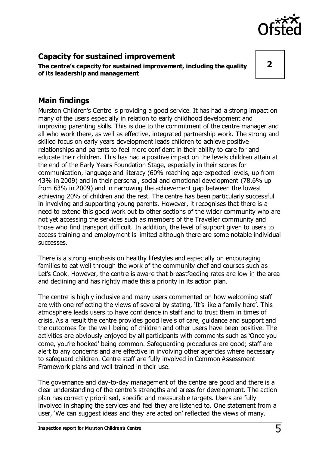

## **Capacity for sustained improvement**

**The centre's capacity for sustained improvement, including the quality of its leadership and management**

**2**

## **Main findings**

Murston Children's Centre is providing a good service. It has had a strong impact on many of the users especially in relation to early childhood development and improving parenting skills. This is due to the commitment of the centre manager and all who work there, as well as effective, integrated partnership work. The strong and skilled focus on early years development leads children to achieve positive relationships and parents to feel more confident in their ability to care for and educate their children. This has had a positive impact on the levels children attain at the end of the Early Years Foundation Stage, especially in their scores for communication, language and literacy (60% reaching age-expected levels, up from 43% in 2009) and in their personal, social and emotional development (78.6% up from 63% in 2009) and in narrowing the achievement gap between the lowest achieving 20% of children and the rest. The centre has been particularly successful in involving and supporting young parents. However, it recognises that there is a need to extend this good work out to other sections of the wider community who are not yet accessing the services such as members of the Traveller community and those who find transport difficult. In addition, the level of support given to users to access training and employment is limited although there are some notable individual successes.

There is a strong emphasis on healthy lifestyles and especially on encouraging families to eat well through the work of the community chef and courses such as Let's Cook. However, the centre is aware that breastfeeding rates are low in the area and declining and has rightly made this a priority in its action plan.

The centre is highly inclusive and many users commented on how welcoming staff are with one reflecting the views of several by stating, 'It's like a family here'. This atmosphere leads users to have confidence in staff and to trust them in times of crisis. As a result the centre provides good levels of care, guidance and support and the outcomes for the well-being of children and other users have been positive. The activities are obviously enjoyed by all participants with comments such as 'Once you come, you're hooked' being common. Safeguarding procedures are good; staff are alert to any concerns and are effective in involving other agencies where necessary to safeguard children. Centre staff are fully involved in Common Assessment Framework plans and well trained in their use.

The governance and day-to-day management of the centre are good and there is a clear understanding of the centre's strengths and areas for development. The action plan has correctly prioritised, specific and measurable targets. Users are fully involved in shaping the services and feel they are listened to. One statement from a user, 'We can suggest ideas and they are acted on' reflected the views of many.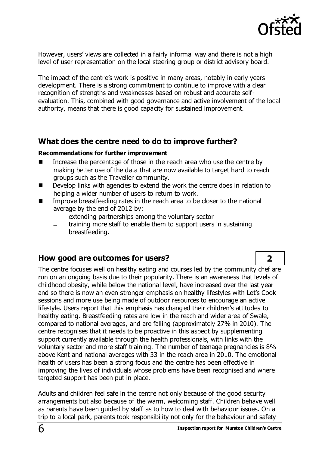

However, users' views are collected in a fairly informal way and there is not a high level of user representation on the local steering group or district advisory board.

The impact of the centre's work is positive in many areas, notably in early years development. There is a strong commitment to continue to improve with a clear recognition of strengths and weaknesses based on robust and accurate selfevaluation. This, combined with good governance and active involvement of the local authority, means that there is good capacity for sustained improvement.

#### **What does the centre need to do to improve further?**

#### **Recommendations for further improvement**

- Increase the percentage of those in the reach area who use the centre by making better use of the data that are now available to target hard to reach groups such as the Traveller community.
- Develop links with agencies to extend the work the centre does in relation to helping a wider number of users to return to work.
- Improve breastfeeding rates in the reach area to be closer to the national average by the end of 2012 by:
	- extending partnerships among the voluntary sector
	- training more staff to enable them to support users in sustaining breastfeeding.

#### **How good are outcomes for users? 2**

The centre focuses well on healthy eating and courses led by the community chef are run on an ongoing basis due to their popularity. There is an awareness that levels of childhood obesity, while below the national level, have increased over the last year and so there is now an even stronger emphasis on healthy lifestyles with Let's Cook sessions and more use being made of outdoor resources to encourage an active lifestyle. Users report that this emphasis has changed their children's attitudes to healthy eating. Breastfeeding rates are low in the reach and wider area of Swale, compared to national averages, and are falling (approximately 27% in 2010). The centre recognises that it needs to be proactive in this aspect by supplementing support currently available through the health professionals, with links with the voluntary sector and more staff training. The number of teenage pregnancies is 8% above Kent and national averages with 33 in the reach area in 2010. The emotional health of users has been a strong focus and the centre has been effective in improving the lives of individuals whose problems have been recognised and where targeted support has been put in place.

Adults and children feel safe in the centre not only because of the good security arrangements but also because of the warm, welcoming staff. Children behave well as parents have been guided by staff as to how to deal with behaviour issues. On a trip to a local park, parents took responsibility not only for the behaviour and safety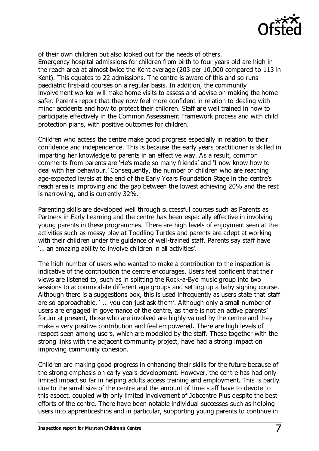

of their own children but also looked out for the needs of others. Emergency hospital admissions for children from birth to four years old are high in the reach area at almost twice the Kent average (203 per 10,000 compared to 113 in Kent). This equates to 22 admissions. The centre is aware of this and so runs paediatric first-aid courses on a regular basis. In addition, the community involvement worker will make home visits to assess and advise on making the home safer. Parents report that they now feel more confident in relation to dealing with minor accidents and how to protect their children. Staff are well trained in how to participate effectively in the Common Assessment Framework process and with child protection plans, with positive outcomes for children.

Children who access the centre make good progress especially in relation to their confidence and independence. This is because the early years practitioner is skilled in imparting her knowledge to parents in an effective way. As a result, common comments from parents are 'He's made so many friends' and 'I now know how to deal with her behaviour.' Consequently, the number of children who are reaching age-expected levels at the end of the Early Years Foundation Stage in the centre's reach area is improving and the gap between the lowest achieving 20% and the rest is narrowing, and is currently 32%.

Parenting skills are developed well through successful courses such as Parents as Partners in Early Learning and the centre has been especially effective in involving young parents in these programmes. There are high levels of enjoyment seen at the activities such as messy play at Toddling Turtles and parents are adept at working with their children under the guidance of well-trained staff. Parents say staff have '… an amazing ability to involve children in all activities'.

The high number of users who wanted to make a contribution to the inspection is indicative of the contribution the centre encourages. Users feel confident that their views are listened to, such as in splitting the Rock-a-Bye music group into two sessions to accommodate different age groups and setting up a baby signing course. Although there is a suggestions box, this is used infrequently as users state that staff are so approachable, ' … you can just ask them'. Although only a small number of users are engaged in governance of the centre, as there is not an active parents' forum at present, those who are involved are highly valued by the centre and they make a very positive contribution and feel empowered. There are high levels of respect seen among users, which are modelled by the staff. These together with the strong links with the adjacent community project, have had a strong impact on improving community cohesion.

Children are making good progress in enhancing their skills for the future because of the strong emphasis on early years development. However, the centre has had only limited impact so far in helping adults access training and employment. This is partly due to the small size of the centre and the amount of time staff have to devote to this aspect, coupled with only limited involvement of Jobcentre Plus despite the best efforts of the centre. There have been notable individual successes such as helping users into apprenticeships and in particular, supporting young parents to continue in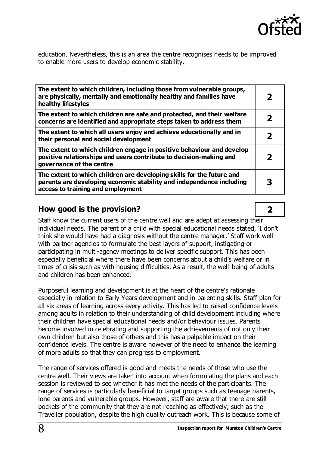

education. Nevertheless, this is an area the centre recognises needs to be improved to enable more users to develop economic stability.

| The extent to which children, including those from vulnerable groups,<br>are physically, mentally and emotionally healthy and families have<br>healthy lifestyles                  |  |
|------------------------------------------------------------------------------------------------------------------------------------------------------------------------------------|--|
| The extent to which children are safe and protected, and their welfare<br>concerns are identified and appropriate steps taken to address them                                      |  |
| The extent to which all users enjoy and achieve educationally and in<br>their personal and social development                                                                      |  |
| The extent to which children engage in positive behaviour and develop<br>positive relationships and users contribute to decision-making and<br>governance of the centre            |  |
| The extent to which children are developing skills for the future and<br>parents are developing economic stability and independence including<br>access to training and employment |  |

### **How good is the provision? 2**

Staff know the current users of the centre well and are adept at assessing their individual needs. The parent of a child with special educational needs stated, 'I don't think she would have had a diagnosis without the centre manager.' Staff work well with partner agencies to formulate the best layers of support, instigating or participating in multi-agency meetings to deliver specific support. This has been especially beneficial where there have been concerns about a child's welfare or in times of crisis such as with housing difficulties. As a result, the well-being of adults and children has been enhanced.

Purposeful learning and development is at the heart of the centre's rationale especially in relation to Early Years development and in parenting skills. Staff plan for all six areas of learning across every activity. This has led to raised confidence levels among adults in relation to their understanding of child development including where their children have special educational needs and/or behaviour issues. Parents become involved in celebrating and supporting the achievements of not only their own children but also those of others and this has a palpable impact on their confidence levels. The centre is aware however of the need to enhance the learning of more adults so that they can progress to employment.

The range of services offered is good and meets the needs of those who use the centre well. Their views are taken into account when formulating the plans and each session is reviewed to see whether it has met the needs of the participants. The range of services is particularly beneficial to target groups such as teenage parents, lone parents and vulnerable groups. However, staff are aware that there are still pockets of the community that they are not reaching as effectively, such as the Traveller population, despite the high quality outreach work. This is because some of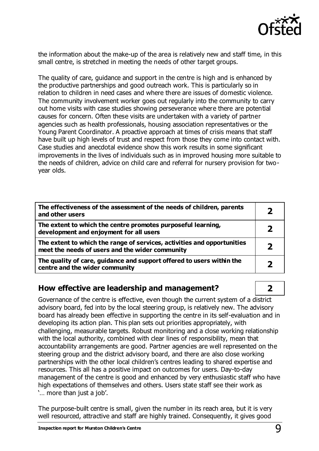

the information about the make-up of the area is relatively new and staff time, in this small centre, is stretched in meeting the needs of other target groups.

The quality of care, guidance and support in the centre is high and is enhanced by the productive partnerships and good outreach work. This is particularly so in relation to children in need cases and where there are issues of domestic violence. The community involvement worker goes out regularly into the community to carry out home visits with case studies showing perseverance where there are potential causes for concern. Often these visits are undertaken with a variety of partner agencies such as health professionals, housing association representatives or the Young Parent Coordinator. A proactive approach at times of crisis means that staff have built up high levels of trust and respect from those they come into contact with. Case studies and anecdotal evidence show this work results in some significant improvements in the lives of individuals such as in improved housing more suitable to the needs of children, advice on child care and referral for nursery provision for twoyear olds.

| The effectiveness of the assessment of the needs of children, parents<br>and other users                                   |   |
|----------------------------------------------------------------------------------------------------------------------------|---|
| The extent to which the centre promotes purposeful learning,<br>development and enjoyment for all users                    |   |
| The extent to which the range of services, activities and opportunities<br>meet the needs of users and the wider community | 2 |
| The quality of care, guidance and support offered to users within the<br>centre and the wider community                    |   |

#### **How effective are leadership and management? 2**

Governance of the centre is effective, even though the current system of a district advisory board, fed into by the local steering group, is relatively new. The advisory board has already been effective in supporting the centre in its self-evaluation and in developing its action plan. This plan sets out priorities appropriately, with challenging, measurable targets. Robust monitoring and a close working relationship with the local authority, combined with clear lines of responsibility, mean that accountability arrangements are good. Partner agencies are well represented on the steering group and the district advisory board, and there are also close working partnerships with the other local children's centres leading to shared expertise and resources. This all has a positive impact on outcomes for users. Day-to-day management of the centre is good and enhanced by very enthusiastic staff who have high expectations of themselves and others. Users state staff see their work as '… more than just a job'.

The purpose-built centre is small, given the number in its reach area, but it is very well resourced, attractive and staff are highly trained. Consequently, it gives good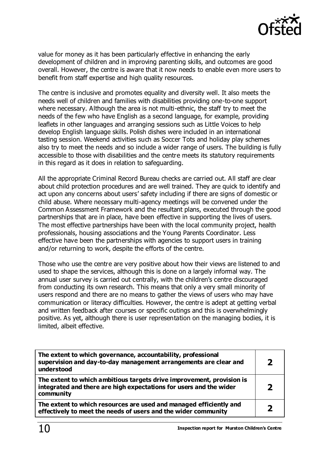

value for money as it has been particularly effective in enhancing the early development of children and in improving parenting skills, and outcomes are good overall. However, the centre is aware that it now needs to enable even more users to benefit from staff expertise and high quality resources.

The centre is inclusive and promotes equality and diversity well. It also meets the needs well of children and families with disabilities providing one-to-one support where necessary. Although the area is not multi-ethnic, the staff try to meet the needs of the few who have English as a second language, for example, providing leaflets in other languages and arranging sessions such as Little Voices to help develop English language skills. Polish dishes were included in an international tasting session. Weekend activities such as Soccer Tots and holiday play schemes also try to meet the needs and so include a wider range of users. The building is fully accessible to those with disabilities and the centre meets its statutory requirements in this regard as it does in relation to safeguarding.

All the appropriate Criminal Record Bureau checks are carried out. All staff are clear about child protection procedures and are well trained. They are quick to identify and act upon any concerns about users' safety including if there are signs of domestic or child abuse. Where necessary multi-agency meetings will be convened under the Common Assessment Framework and the resultant plans, executed through the good partnerships that are in place, have been effective in supporting the lives of users. The most effective partnerships have been with the local community project, health professionals, housing associations and the Young Parents Coordinator. Less effective have been the partnerships with agencies to support users in training and/or returning to work, despite the efforts of the centre.

Those who use the centre are very positive about how their views are listened to and used to shape the services, although this is done on a largely informal way. The annual user survey is carried out centrally, with the children's centre discouraged from conducting its own research. This means that only a very small minority of users respond and there are no means to gather the views of users who may have communication or literacy difficulties. However, the centre is adept at getting verbal and written feedback after courses or specific outings and this is overwhelmingly positive. As yet, although there is user representation on the managing bodies, it is limited, albeit effective.

| The extent to which governance, accountability, professional<br>supervision and day-to-day management arrangements are clear and<br>understood           |                         |
|----------------------------------------------------------------------------------------------------------------------------------------------------------|-------------------------|
| The extent to which ambitious targets drive improvement, provision is<br>integrated and there are high expectations for users and the wider<br>community | $\overline{\mathbf{z}}$ |
| The extent to which resources are used and managed efficiently and<br>effectively to meet the needs of users and the wider community                     | 2                       |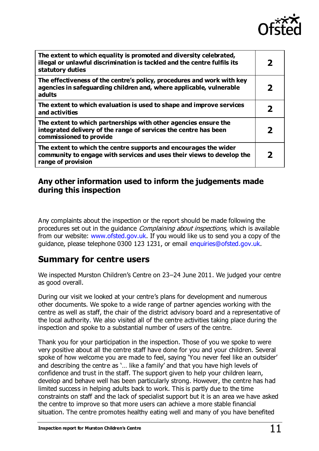

| The extent to which equality is promoted and diversity celebrated,<br>illegal or unlawful discrimination is tackled and the centre fulfils its<br>statutory duties | 2                |
|--------------------------------------------------------------------------------------------------------------------------------------------------------------------|------------------|
| The effectiveness of the centre's policy, procedures and work with key<br>agencies in safeguarding children and, where applicable, vulnerable<br>adults            | $\boldsymbol{z}$ |
| The extent to which evaluation is used to shape and improve services<br>and activities                                                                             |                  |
| The extent to which partnerships with other agencies ensure the<br>integrated delivery of the range of services the centre has been<br>commissioned to provide     | 7                |
| The extent to which the centre supports and encourages the wider<br>community to engage with services and uses their views to develop the<br>range of provision    |                  |

## **Any other information used to inform the judgements made during this inspection**

Any complaints about the inspection or the report should be made following the procedures set out in the quidance *Complaining about inspections*, which is available from our website: [www.ofsted.gov.uk.](http://www.ofsted.gov.uk/) If you would like us to send you a copy of the guidance, please telephone 0300 123 1231, or email [enquiries@ofsted.gov.uk](mailto:enquiries@ofsted.gov.uk).

# **Summary for centre users**

We inspected Murston Children's Centre on 23–24 June 2011. We judged your centre as good overall.

During our visit we looked at your centre's plans for development and numerous other documents. We spoke to a wide range of partner agencies working with the centre as well as staff, the chair of the district advisory board and a representative of the local authority. We also visited all of the centre activities taking place during the inspection and spoke to a substantial number of users of the centre.

Thank you for your participation in the inspection. Those of you we spoke to were very positive about all the centre staff have done for you and your children. Several spoke of how welcome you are made to feel, saying 'You never feel like an outsider' and describing the centre as '… like a family' and that you have high levels of confidence and trust in the staff. The support given to help your children learn, develop and behave well has been particularly strong. However, the centre has had limited success in helping adults back to work. This is partly due to the time constraints on staff and the lack of specialist support but it is an area we have asked the centre to improve so that more users can achieve a more stable financial situation. The centre promotes healthy eating well and many of you have benefited